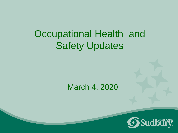## Occupational Health and Safety Updates

#### March 4, 2020

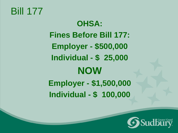#### Bill 177

**OHSA: Fines Before Bill 177: Employer - \$500,000 Individual - \$ 25,000 NOW Employer - \$1,500,000 Individual - \$ 100,000**

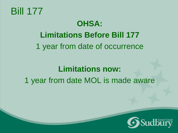

## **OHSA: Limitations Before Bill 177** 1 year from date of occurrence

#### **Limitations now:** 1 year from date MOL is made aware

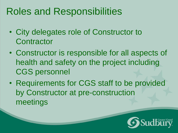### Roles and Responsibilities

- City delegates role of Constructor to **Contractor**
- Constructor is responsible for all aspects of health and safety on the project including CGS personnel
- Requirements for CGS staff to be provided by Constructor at pre-construction meetings

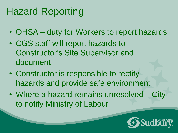# Hazard Reporting

- OHSA duty for Workers to report hazards
- CGS staff will report hazards to Constructor's Site Supervisor and document
- Constructor is responsible to rectify hazards and provide safe environment
- Where a hazard remains unresolved City to notify Ministry of Labour

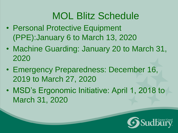# MOL Blitz Schedule

- Personal Protective Equipment (PPE):January 6 to March 13, 2020
- Machine Guarding: January 20 to March 31, 2020
- Emergency Preparedness: December 16, 2019 to March 27, 2020
- MSD's Ergonomic Initiative: April 1, 2018 to March 31, 2020

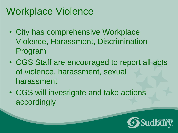## Workplace Violence

- City has comprehensive Workplace Violence, Harassment, Discrimination Program
- CGS Staff are encouraged to report all acts of violence, harassment, sexual harassment
- CGS will investigate and take actions accordingly

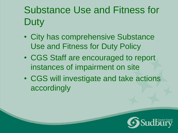# Substance Use and Fitness for **Duty**

- City has comprehensive Substance Use and Fitness for Duty Policy
- CGS Staff are encouraged to report instances of impairment on site
- CGS will investigate and take actions accordingly